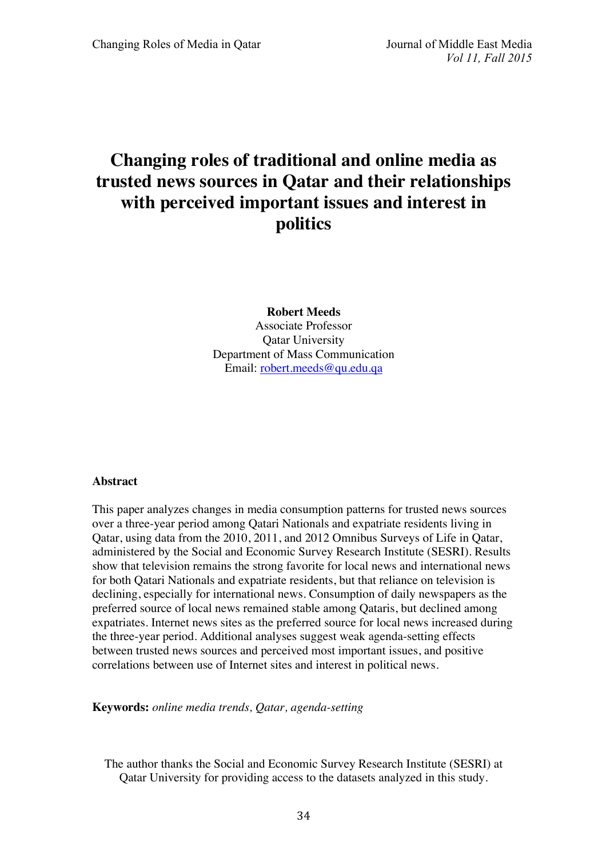# **Changing roles of traditional and online media as trusted news sources in Qatar and their relationships with perceived important issues and interest in politics**

**Robert Meeds** Associate Professor Qatar University Department of Mass Communication Email: robert.meeds@qu.edu.qa

## **Abstract**

This paper analyzes changes in media consumption patterns for trusted news sources over a three-year period among Qatari Nationals and expatriate residents living in Qatar, using data from the 2010, 2011, and 2012 Omnibus Surveys of Life in Qatar, administered by the Social and Economic Survey Research Institute (SESRI). Results show that television remains the strong favorite for local news and international news for both Qatari Nationals and expatriate residents, but that reliance on television is declining, especially for international news. Consumption of daily newspapers as the preferred source of local news remained stable among Qataris, but declined among expatriates. Internet news sites as the preferred source for local news increased during the three-year period. Additional analyses suggest weak agenda-setting effects between trusted news sources and perceived most important issues, and positive correlations between use of Internet sites and interest in political news.

**Keywords:** *online media trends, Qatar, agenda-setting*

The author thanks the Social and Economic Survey Research Institute (SESRI) at Qatar University for providing access to the datasets analyzed in this study.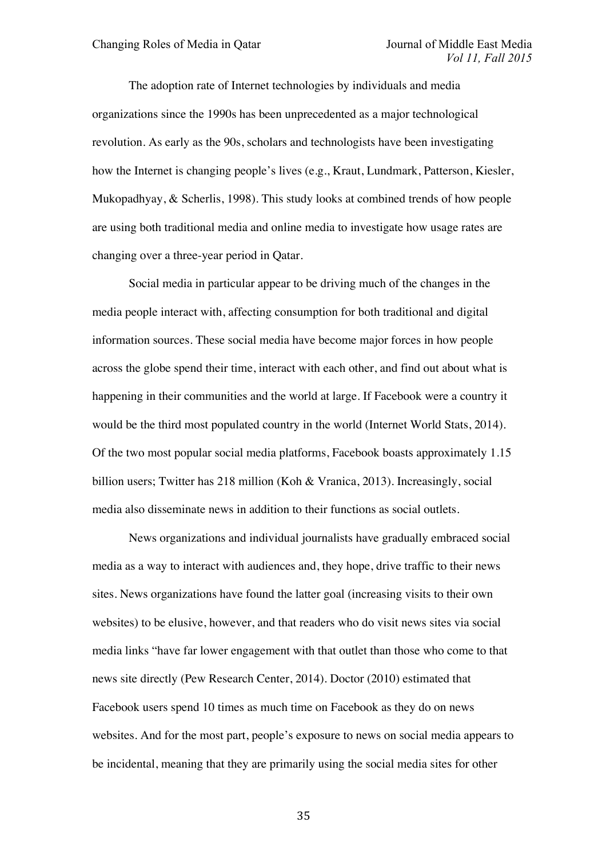The adoption rate of Internet technologies by individuals and media organizations since the 1990s has been unprecedented as a major technological revolution. As early as the 90s, scholars and technologists have been investigating how the Internet is changing people's lives (e.g., Kraut, Lundmark, Patterson, Kiesler, Mukopadhyay, & Scherlis, 1998). This study looks at combined trends of how people are using both traditional media and online media to investigate how usage rates are changing over a three-year period in Qatar.

Social media in particular appear to be driving much of the changes in the media people interact with, affecting consumption for both traditional and digital information sources. These social media have become major forces in how people across the globe spend their time, interact with each other, and find out about what is happening in their communities and the world at large. If Facebook were a country it would be the third most populated country in the world (Internet World Stats, 2014). Of the two most popular social media platforms, Facebook boasts approximately 1.15 billion users; Twitter has 218 million (Koh & Vranica, 2013). Increasingly, social media also disseminate news in addition to their functions as social outlets.

News organizations and individual journalists have gradually embraced social media as a way to interact with audiences and, they hope, drive traffic to their news sites. News organizations have found the latter goal (increasing visits to their own websites) to be elusive, however, and that readers who do visit news sites via social media links "have far lower engagement with that outlet than those who come to that news site directly (Pew Research Center, 2014). Doctor (2010) estimated that Facebook users spend 10 times as much time on Facebook as they do on news websites. And for the most part, people's exposure to news on social media appears to be incidental, meaning that they are primarily using the social media sites for other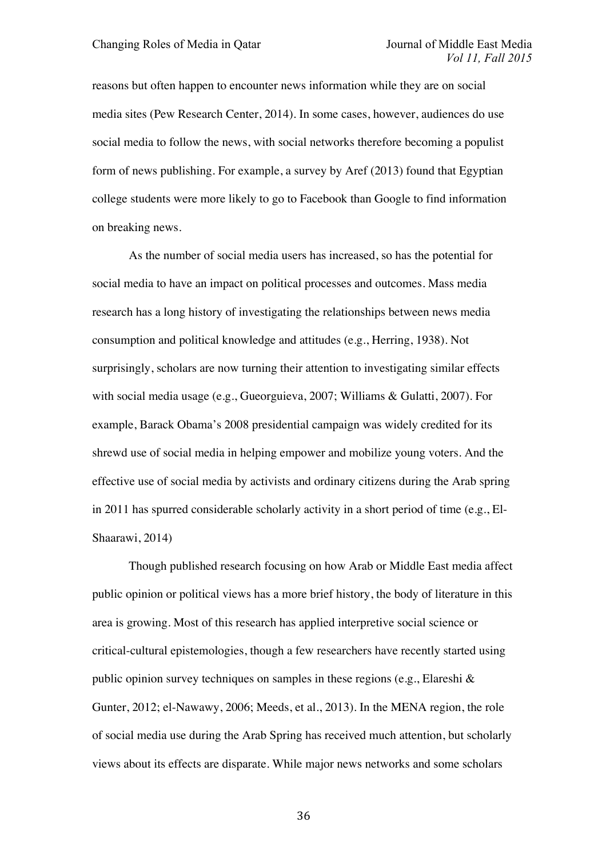reasons but often happen to encounter news information while they are on social media sites (Pew Research Center, 2014). In some cases, however, audiences do use social media to follow the news, with social networks therefore becoming a populist form of news publishing. For example, a survey by Aref (2013) found that Egyptian college students were more likely to go to Facebook than Google to find information on breaking news.

As the number of social media users has increased, so has the potential for social media to have an impact on political processes and outcomes. Mass media research has a long history of investigating the relationships between news media consumption and political knowledge and attitudes (e.g., Herring, 1938). Not surprisingly, scholars are now turning their attention to investigating similar effects with social media usage (e.g., Gueorguieva, 2007; Williams & Gulatti, 2007). For example, Barack Obama's 2008 presidential campaign was widely credited for its shrewd use of social media in helping empower and mobilize young voters. And the effective use of social media by activists and ordinary citizens during the Arab spring in 2011 has spurred considerable scholarly activity in a short period of time (e.g., El-Shaarawi, 2014)

Though published research focusing on how Arab or Middle East media affect public opinion or political views has a more brief history, the body of literature in this area is growing. Most of this research has applied interpretive social science or critical-cultural epistemologies, though a few researchers have recently started using public opinion survey techniques on samples in these regions (e.g., Elareshi & Gunter, 2012; el-Nawawy, 2006; Meeds, et al., 2013). In the MENA region, the role of social media use during the Arab Spring has received much attention, but scholarly views about its effects are disparate. While major news networks and some scholars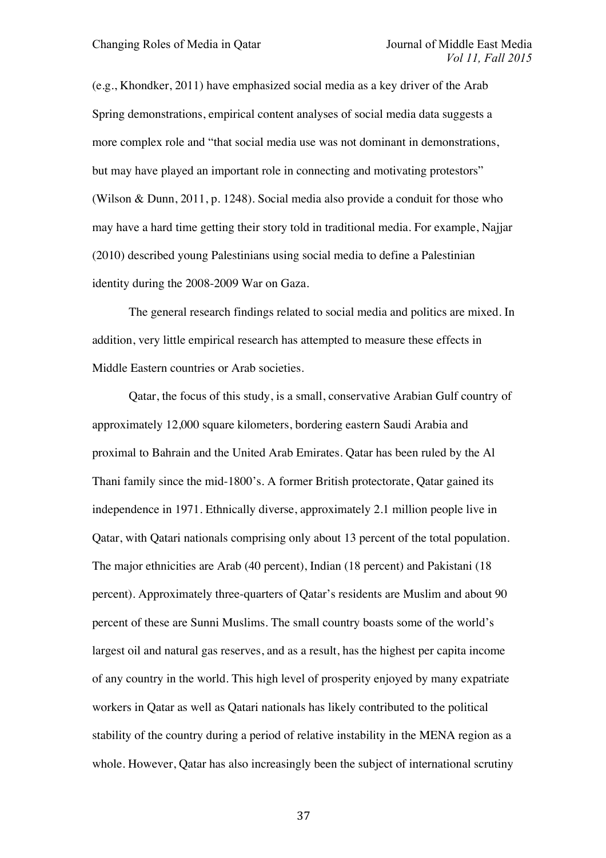(e.g., Khondker, 2011) have emphasized social media as a key driver of the Arab Spring demonstrations, empirical content analyses of social media data suggests a more complex role and "that social media use was not dominant in demonstrations, but may have played an important role in connecting and motivating protestors" (Wilson & Dunn, 2011, p. 1248). Social media also provide a conduit for those who may have a hard time getting their story told in traditional media. For example, Najjar (2010) described young Palestinians using social media to define a Palestinian identity during the 2008-2009 War on Gaza.

The general research findings related to social media and politics are mixed. In addition, very little empirical research has attempted to measure these effects in Middle Eastern countries or Arab societies.

Qatar, the focus of this study, is a small, conservative Arabian Gulf country of approximately 12,000 square kilometers, bordering eastern Saudi Arabia and proximal to Bahrain and the United Arab Emirates. Qatar has been ruled by the Al Thani family since the mid-1800's. A former British protectorate, Qatar gained its independence in 1971. Ethnically diverse, approximately 2.1 million people live in Qatar, with Qatari nationals comprising only about 13 percent of the total population. The major ethnicities are Arab (40 percent), Indian (18 percent) and Pakistani (18 percent). Approximately three-quarters of Qatar's residents are Muslim and about 90 percent of these are Sunni Muslims. The small country boasts some of the world's largest oil and natural gas reserves, and as a result, has the highest per capita income of any country in the world. This high level of prosperity enjoyed by many expatriate workers in Qatar as well as Qatari nationals has likely contributed to the political stability of the country during a period of relative instability in the MENA region as a whole. However, Qatar has also increasingly been the subject of international scrutiny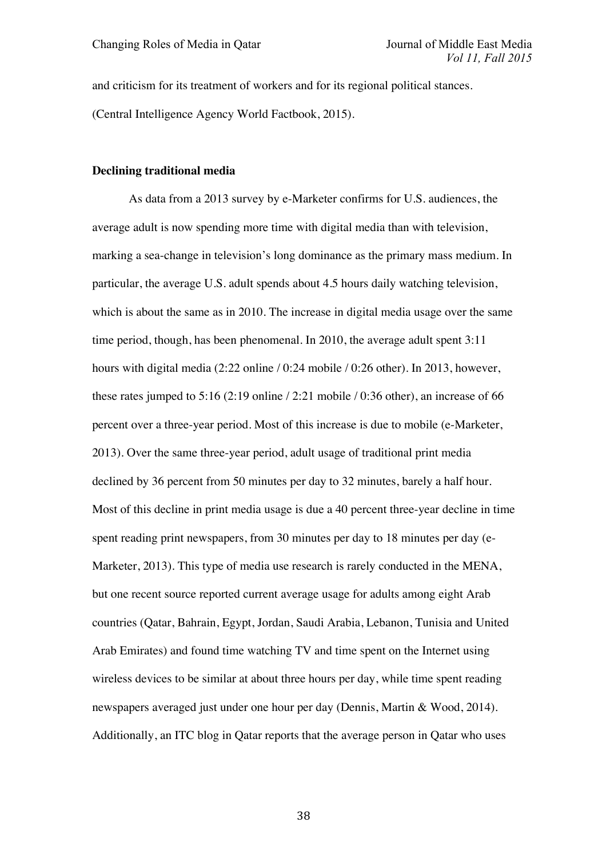and criticism for its treatment of workers and for its regional political stances.

(Central Intelligence Agency World Factbook, 2015).

#### **Declining traditional media**

As data from a 2013 survey by e-Marketer confirms for U.S. audiences, the average adult is now spending more time with digital media than with television, marking a sea-change in television's long dominance as the primary mass medium. In particular, the average U.S. adult spends about 4.5 hours daily watching television, which is about the same as in 2010. The increase in digital media usage over the same time period, though, has been phenomenal. In 2010, the average adult spent 3:11 hours with digital media (2:22 online / 0:24 mobile / 0:26 other). In 2013, however, these rates jumped to 5:16 (2:19 online / 2:21 mobile / 0:36 other), an increase of 66 percent over a three-year period. Most of this increase is due to mobile (e-Marketer, 2013). Over the same three-year period, adult usage of traditional print media declined by 36 percent from 50 minutes per day to 32 minutes, barely a half hour. Most of this decline in print media usage is due a 40 percent three-year decline in time spent reading print newspapers, from 30 minutes per day to 18 minutes per day (e-Marketer, 2013). This type of media use research is rarely conducted in the MENA, but one recent source reported current average usage for adults among eight Arab countries (Qatar, Bahrain, Egypt, Jordan, Saudi Arabia, Lebanon, Tunisia and United Arab Emirates) and found time watching TV and time spent on the Internet using wireless devices to be similar at about three hours per day, while time spent reading newspapers averaged just under one hour per day (Dennis, Martin & Wood, 2014). Additionally, an ITC blog in Qatar reports that the average person in Qatar who uses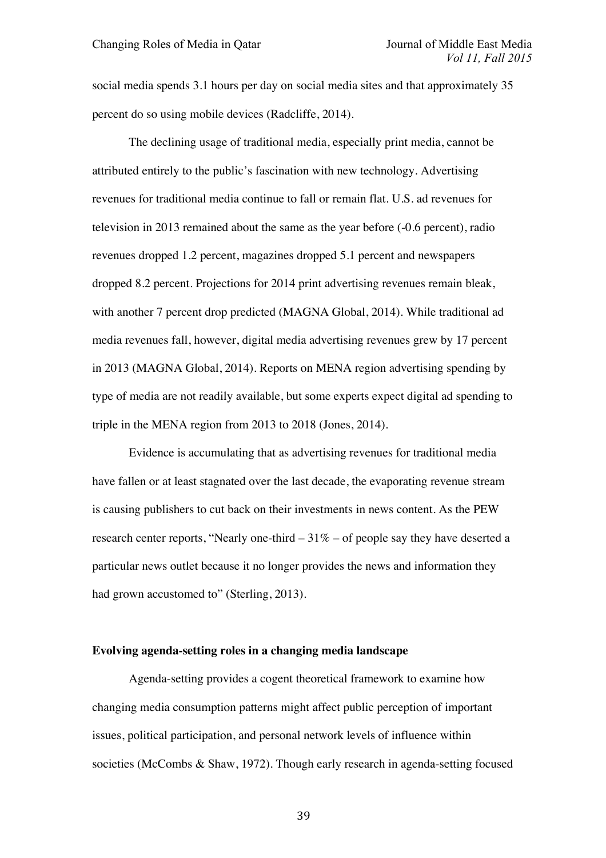social media spends 3.1 hours per day on social media sites and that approximately 35 percent do so using mobile devices (Radcliffe, 2014).

The declining usage of traditional media, especially print media, cannot be attributed entirely to the public's fascination with new technology. Advertising revenues for traditional media continue to fall or remain flat. U.S. ad revenues for television in 2013 remained about the same as the year before (-0.6 percent), radio revenues dropped 1.2 percent, magazines dropped 5.1 percent and newspapers dropped 8.2 percent. Projections for 2014 print advertising revenues remain bleak, with another 7 percent drop predicted (MAGNA Global, 2014). While traditional ad media revenues fall, however, digital media advertising revenues grew by 17 percent in 2013 (MAGNA Global, 2014). Reports on MENA region advertising spending by type of media are not readily available, but some experts expect digital ad spending to triple in the MENA region from 2013 to 2018 (Jones, 2014).

Evidence is accumulating that as advertising revenues for traditional media have fallen or at least stagnated over the last decade, the evaporating revenue stream is causing publishers to cut back on their investments in news content. As the PEW research center reports, "Nearly one-third  $-31\%$  – of people say they have deserted a particular news outlet because it no longer provides the news and information they had grown accustomed to" (Sterling, 2013).

## **Evolving agenda-setting roles in a changing media landscape**

Agenda-setting provides a cogent theoretical framework to examine how changing media consumption patterns might affect public perception of important issues, political participation, and personal network levels of influence within societies (McCombs & Shaw, 1972). Though early research in agenda-setting focused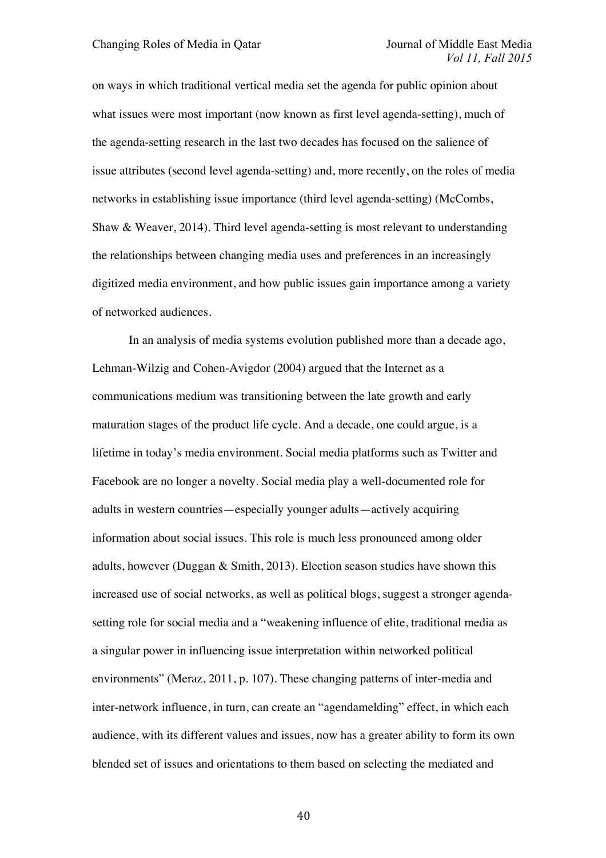on ways in which traditional vertical media set the agenda for public opinion about what issues were most important (now known as first level agenda-setting), much of the agenda-setting research in the last two decades has focused on the salience of issue attributes (second level agenda-setting) and, more recently, on the roles of media networks in establishing issue importance (third level agenda-setting) (McCombs, Shaw & Weaver, 2014). Third level agenda-setting is most relevant to understanding the relationships between changing media uses and preferences in an increasingly digitized media environment, and how public issues gain importance among a variety of networked audiences.

In an analysis of media systems evolution published more than a decade ago, Lehman-Wilzig and Cohen-Avigdor (2004) argued that the Internet as a communications medium was transitioning between the late growth and early maturation stages of the product life cycle. And a decade, one could argue, is a lifetime in today's media environment. Social media platforms such as Twitter and Facebook are no longer a novelty. Social media play a well-documented role for adults in western countries—especially younger adults—actively acquiring information about social issues. This role is much less pronounced among older adults, however (Duggan & Smith, 2013). Election season studies have shown this increased use of social networks, as well as political blogs, suggest a stronger agendasetting role for social media and a "weakening influence of elite, traditional media as a singular power in influencing issue interpretation within networked political environments" (Meraz, 2011, p. 107). These changing patterns of inter-media and inter-network influence, in turn, can create an "agendamelding" effect, in which each audience, with its different values and issues, now has a greater ability to form its own blended set of issues and orientations to them based on selecting the mediated and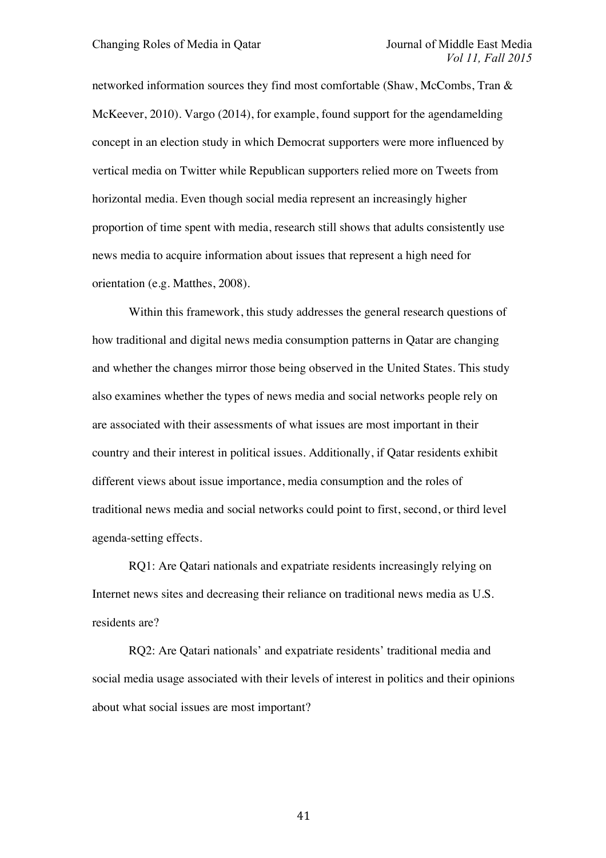networked information sources they find most comfortable (Shaw, McCombs, Tran & McKeever, 2010). Vargo (2014), for example, found support for the agendamelding concept in an election study in which Democrat supporters were more influenced by vertical media on Twitter while Republican supporters relied more on Tweets from horizontal media. Even though social media represent an increasingly higher proportion of time spent with media, research still shows that adults consistently use news media to acquire information about issues that represent a high need for orientation (e.g. Matthes, 2008).

Within this framework, this study addresses the general research questions of how traditional and digital news media consumption patterns in Qatar are changing and whether the changes mirror those being observed in the United States. This study also examines whether the types of news media and social networks people rely on are associated with their assessments of what issues are most important in their country and their interest in political issues. Additionally, if Qatar residents exhibit different views about issue importance, media consumption and the roles of traditional news media and social networks could point to first, second, or third level agenda-setting effects.

RQ1: Are Qatari nationals and expatriate residents increasingly relying on Internet news sites and decreasing their reliance on traditional news media as U.S. residents are?

RQ2: Are Qatari nationals' and expatriate residents' traditional media and social media usage associated with their levels of interest in politics and their opinions about what social issues are most important?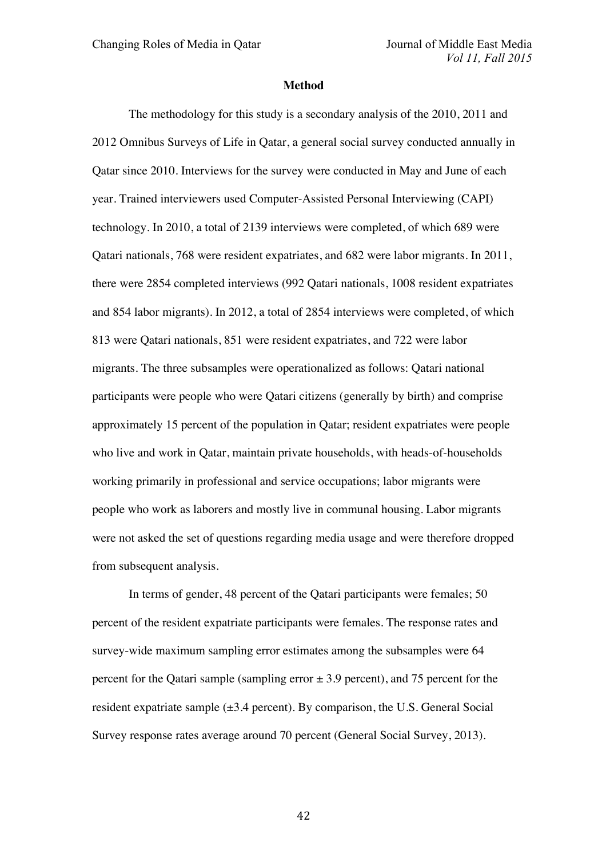#### **Method**

The methodology for this study is a secondary analysis of the 2010, 2011 and 2012 Omnibus Surveys of Life in Qatar, a general social survey conducted annually in Qatar since 2010. Interviews for the survey were conducted in May and June of each year. Trained interviewers used Computer-Assisted Personal Interviewing (CAPI) technology. In 2010, a total of 2139 interviews were completed, of which 689 were Qatari nationals, 768 were resident expatriates, and 682 were labor migrants. In 2011, there were 2854 completed interviews (992 Qatari nationals, 1008 resident expatriates and 854 labor migrants). In 2012, a total of 2854 interviews were completed, of which 813 were Qatari nationals, 851 were resident expatriates, and 722 were labor migrants. The three subsamples were operationalized as follows: Qatari national participants were people who were Qatari citizens (generally by birth) and comprise approximately 15 percent of the population in Qatar; resident expatriates were people who live and work in Qatar, maintain private households, with heads-of-households working primarily in professional and service occupations; labor migrants were people who work as laborers and mostly live in communal housing. Labor migrants were not asked the set of questions regarding media usage and were therefore dropped from subsequent analysis.

In terms of gender, 48 percent of the Qatari participants were females; 50 percent of the resident expatriate participants were females. The response rates and survey-wide maximum sampling error estimates among the subsamples were 64 percent for the Qatari sample (sampling error  $\pm$  3.9 percent), and 75 percent for the resident expatriate sample  $(\pm 3.4$  percent). By comparison, the U.S. General Social Survey response rates average around 70 percent (General Social Survey, 2013).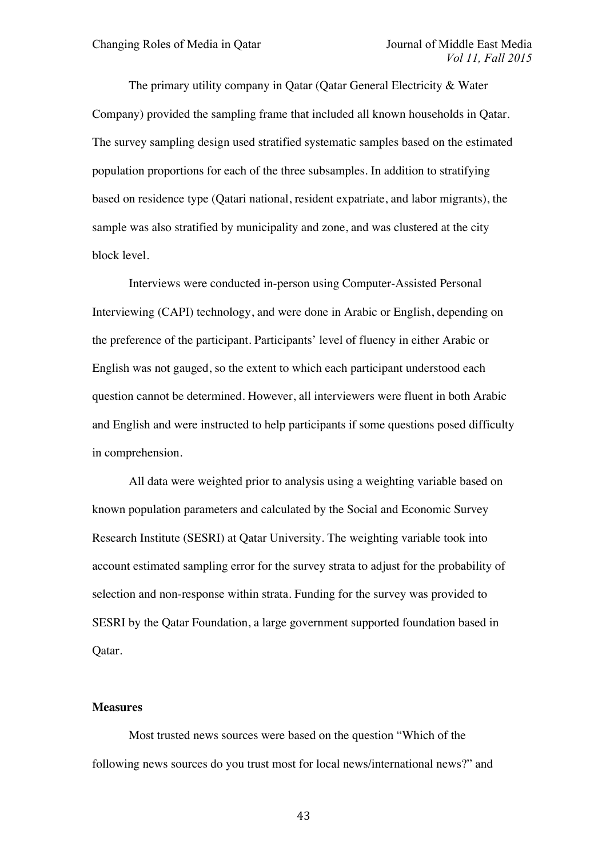The primary utility company in Qatar (Qatar General Electricity & Water Company) provided the sampling frame that included all known households in Qatar. The survey sampling design used stratified systematic samples based on the estimated population proportions for each of the three subsamples. In addition to stratifying based on residence type (Qatari national, resident expatriate, and labor migrants), the sample was also stratified by municipality and zone, and was clustered at the city block level.

Interviews were conducted in-person using Computer-Assisted Personal Interviewing (CAPI) technology, and were done in Arabic or English, depending on the preference of the participant. Participants' level of fluency in either Arabic or English was not gauged, so the extent to which each participant understood each question cannot be determined. However, all interviewers were fluent in both Arabic and English and were instructed to help participants if some questions posed difficulty in comprehension.

All data were weighted prior to analysis using a weighting variable based on known population parameters and calculated by the Social and Economic Survey Research Institute (SESRI) at Qatar University. The weighting variable took into account estimated sampling error for the survey strata to adjust for the probability of selection and non-response within strata. Funding for the survey was provided to SESRI by the Qatar Foundation, a large government supported foundation based in Qatar.

## **Measures**

Most trusted news sources were based on the question "Which of the following news sources do you trust most for local news/international news?" and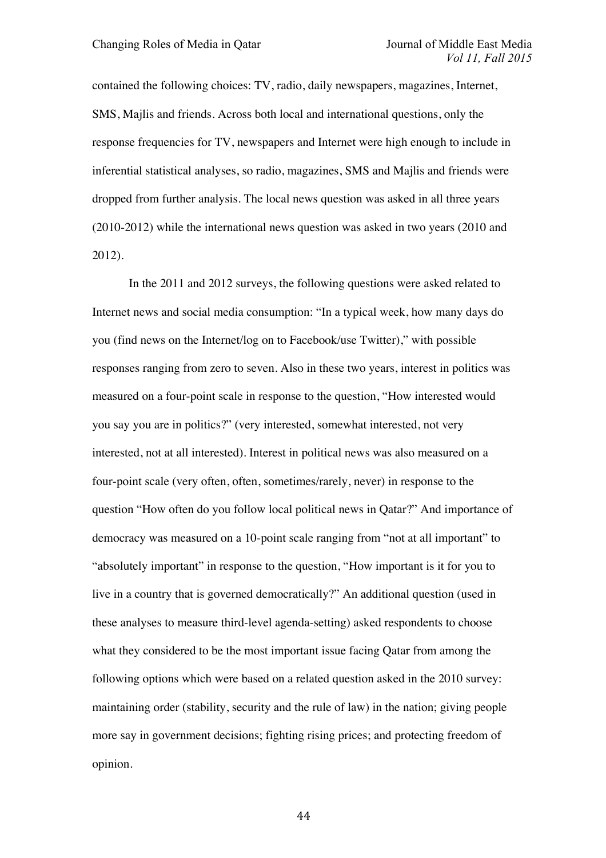contained the following choices: TV, radio, daily newspapers, magazines, Internet, SMS, Majlis and friends. Across both local and international questions, only the response frequencies for TV, newspapers and Internet were high enough to include in inferential statistical analyses, so radio, magazines, SMS and Majlis and friends were dropped from further analysis. The local news question was asked in all three years (2010-2012) while the international news question was asked in two years (2010 and 2012).

In the 2011 and 2012 surveys, the following questions were asked related to Internet news and social media consumption: "In a typical week, how many days do you (find news on the Internet/log on to Facebook/use Twitter)," with possible responses ranging from zero to seven. Also in these two years, interest in politics was measured on a four-point scale in response to the question, "How interested would you say you are in politics?" (very interested, somewhat interested, not very interested, not at all interested). Interest in political news was also measured on a four-point scale (very often, often, sometimes/rarely, never) in response to the question "How often do you follow local political news in Qatar?" And importance of democracy was measured on a 10-point scale ranging from "not at all important" to "absolutely important" in response to the question, "How important is it for you to live in a country that is governed democratically?" An additional question (used in these analyses to measure third-level agenda-setting) asked respondents to choose what they considered to be the most important issue facing Qatar from among the following options which were based on a related question asked in the 2010 survey: maintaining order (stability, security and the rule of law) in the nation; giving people more say in government decisions; fighting rising prices; and protecting freedom of opinion.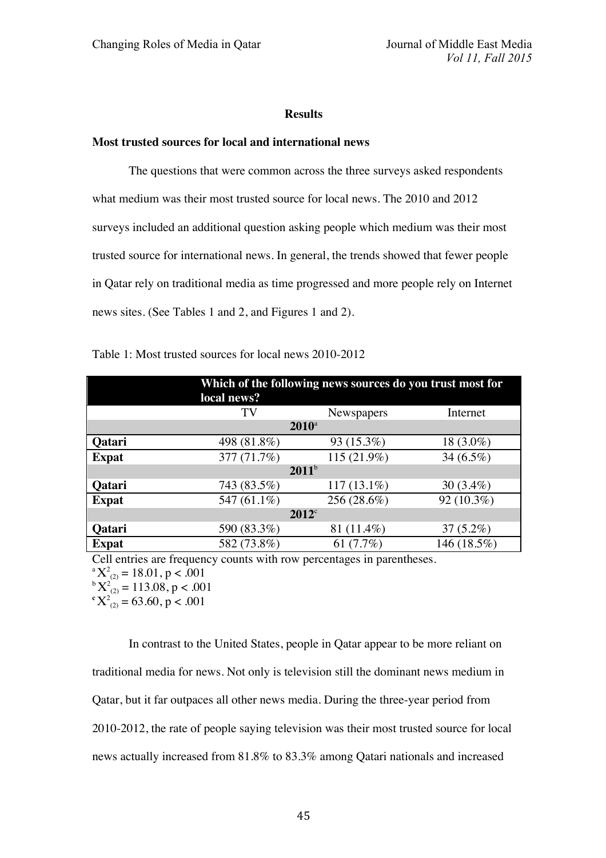### **Results**

# **Most trusted sources for local and international news**

The questions that were common across the three surveys asked respondents what medium was their most trusted source for local news. The 2010 and 2012 surveys included an additional question asking people which medium was their most trusted source for international news. In general, the trends showed that fewer people in Qatar rely on traditional media as time progressed and more people rely on Internet news sites. (See Tables 1 and 2, and Figures 1 and 2).

|                | Which of the following news sources do you trust most for<br>local news? |                               |              |  |  |
|----------------|--------------------------------------------------------------------------|-------------------------------|--------------|--|--|
|                | TV                                                                       | Internet<br><b>Newspapers</b> |              |  |  |
| $2010^{\circ}$ |                                                                          |                               |              |  |  |
| <b>Qatari</b>  | 498 (81.8%)                                                              | 93 (15.3%)                    | 18 (3.0%)    |  |  |
| <b>Expat</b>   | 377 (71.7%)                                                              | 115 (21.9%)                   | 34 $(6.5\%)$ |  |  |
| $2011^b$       |                                                                          |                               |              |  |  |
| <b>Qatari</b>  | 743 (83.5%)                                                              | $117(13.1\%)$                 | 30 $(3.4\%)$ |  |  |
| <b>Expat</b>   | 547 (61.1%)                                                              | 256 (28.6%)                   | 92 (10.3%)   |  |  |
| $2012^{\circ}$ |                                                                          |                               |              |  |  |
| Qatari         | 590 (83.3%)                                                              | 81 (11.4%)                    | $37(5.2\%)$  |  |  |
| <b>Expat</b>   | 582 (73.8%)                                                              | 61 $(7.7%)$                   | 146 (18.5%)  |  |  |

Table 1: Most trusted sources for local news 2010-2012

Cell entries are frequency counts with row percentages in parentheses.

 ${}^{\rm a}X^2_{(2)} = 18.01, p < .001$ 

 ${}_{\rm c}^{\rm b}$  **X**<sup>2</sup><sub>(2)</sub> = 113.08, p < .001<br>  ${}_{\rm c}^{\rm c}$  **v**<sub>2</sub><sup>2</sup> = 63.60, p < 001

 $X^2_{(2)} = 63.60, p < .001$ 

In contrast to the United States, people in Qatar appear to be more reliant on traditional media for news. Not only is television still the dominant news medium in Qatar, but it far outpaces all other news media. During the three-year period from 2010-2012, the rate of people saying television was their most trusted source for local news actually increased from 81.8% to 83.3% among Qatari nationals and increased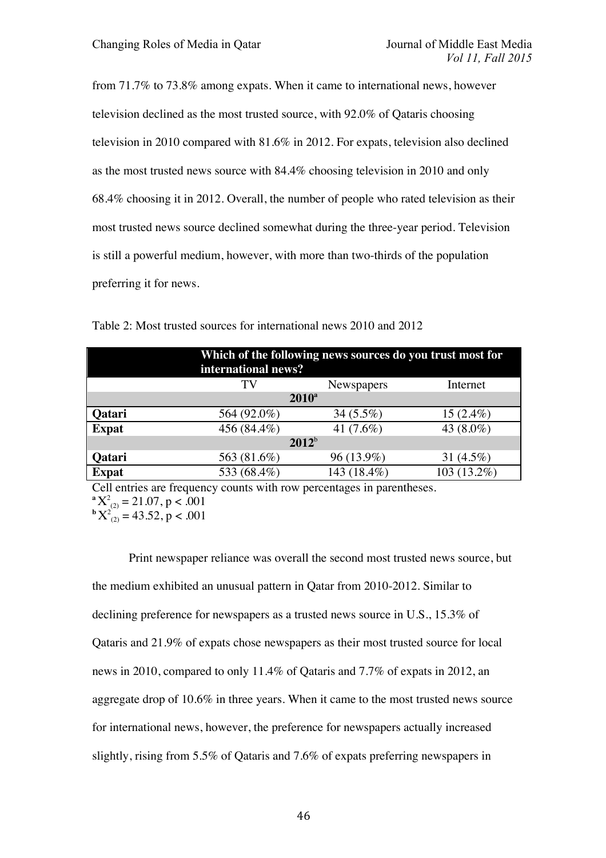from 71.7% to 73.8% among expats. When it came to international news, however television declined as the most trusted source, with 92.0% of Qataris choosing television in 2010 compared with 81.6% in 2012. For expats, television also declined as the most trusted news source with 84.4% choosing television in 2010 and only 68.4% choosing it in 2012. Overall, the number of people who rated television as their most trusted news source declined somewhat during the three-year period. Television is still a powerful medium, however, with more than two-thirds of the population preferring it for news.

| Which of the following news sources do you trust most for<br>international news? |             |              |              |  |
|----------------------------------------------------------------------------------|-------------|--------------|--------------|--|
|                                                                                  | TV          | Newspapers   | Internet     |  |
| $2010^a$                                                                         |             |              |              |  |
| Qatari                                                                           | 564 (92.0%) | $34(5.5\%)$  | $15(2.4\%)$  |  |
| <b>Expat</b>                                                                     | 456 (84.4%) | 41 $(7.6\%)$ | 43 (8.0%)    |  |
| $2012^b$                                                                         |             |              |              |  |
| Qatari                                                                           | 563 (81.6%) | 96 (13.9%)   | 31 $(4.5\%)$ |  |
| <b>Expat</b>                                                                     | 533 (68.4%) | 143 (18.4%)  | 103 (13.2%)  |  |

Table 2: Most trusted sources for international news 2010 and 2012

Cell entries are frequency counts with row percentages in parentheses.  $\mathbf{a}^{\mathbf{a}} \mathbf{X}_{(2)}^2 = 21.07$ , p < .001  $\mathbf{b} \mathbf{X}_{(2)}^2 = 43.52$ , p < .001

Print newspaper reliance was overall the second most trusted news source, but the medium exhibited an unusual pattern in Qatar from 2010-2012. Similar to declining preference for newspapers as a trusted news source in U.S., 15.3% of Qataris and 21.9% of expats chose newspapers as their most trusted source for local news in 2010, compared to only 11.4% of Qataris and 7.7% of expats in 2012, an aggregate drop of 10.6% in three years. When it came to the most trusted news source for international news, however, the preference for newspapers actually increased slightly, rising from 5.5% of Qataris and 7.6% of expats preferring newspapers in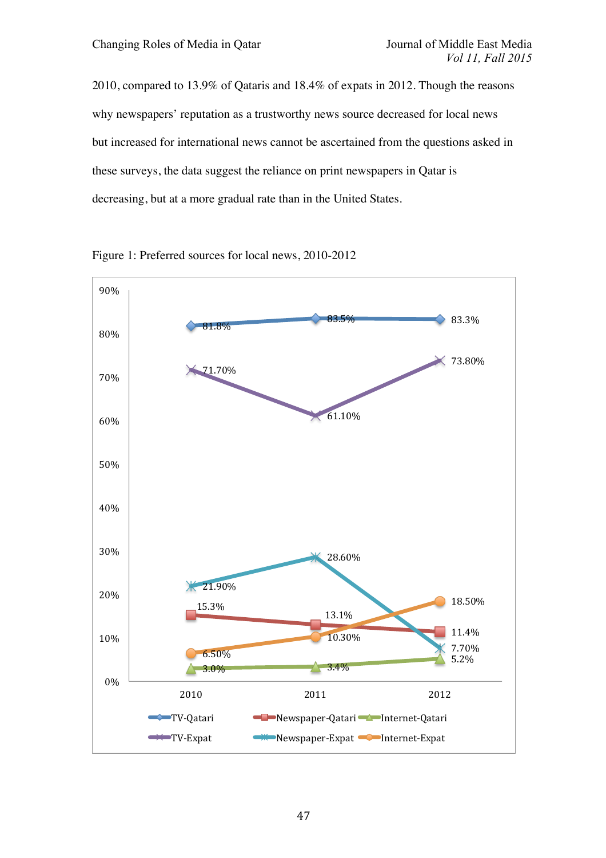2010, compared to 13.9% of Qataris and 18.4% of expats in 2012. Though the reasons why newspapers' reputation as a trustworthy news source decreased for local news but increased for international news cannot be ascertained from the questions asked in these surveys, the data suggest the reliance on print newspapers in Qatar is decreasing, but at a more gradual rate than in the United States.



Figure 1: Preferred sources for local news, 2010-2012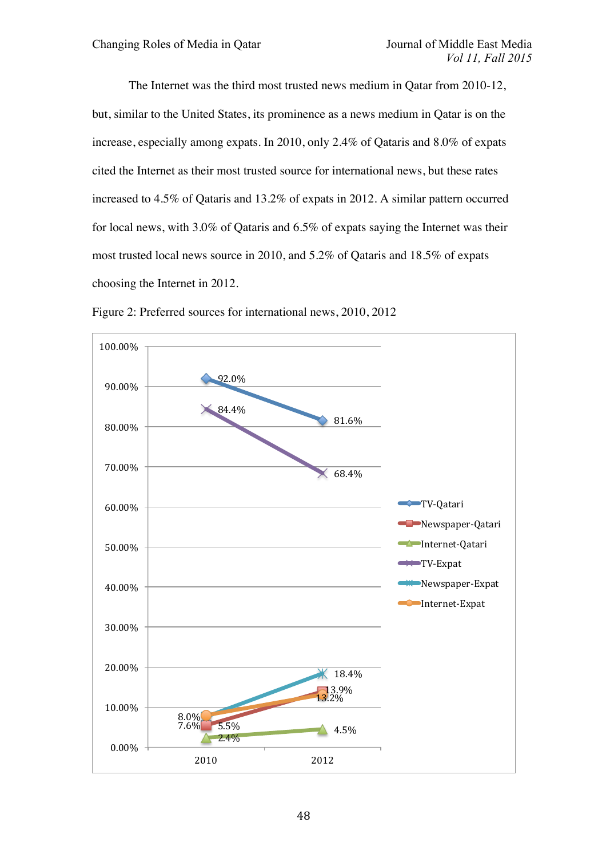The Internet was the third most trusted news medium in Qatar from 2010-12, but, similar to the United States, its prominence as a news medium in Qatar is on the increase, especially among expats. In 2010, only 2.4% of Qataris and 8.0% of expats cited the Internet as their most trusted source for international news, but these rates increased to 4.5% of Qataris and 13.2% of expats in 2012. A similar pattern occurred for local news, with 3.0% of Qataris and 6.5% of expats saying the Internet was their most trusted local news source in 2010, and 5.2% of Qataris and 18.5% of expats choosing the Internet in 2012.



Figure 2: Preferred sources for international news, 2010, 2012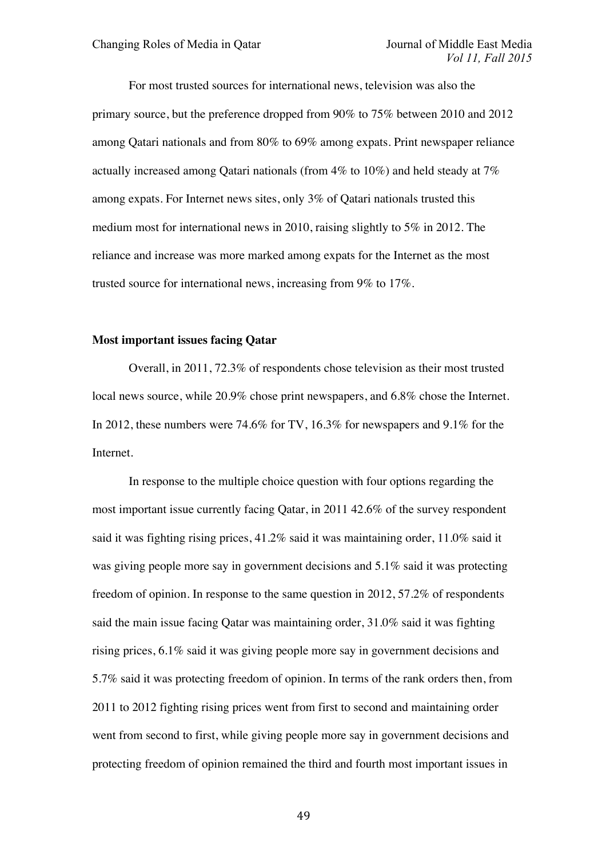For most trusted sources for international news, television was also the primary source, but the preference dropped from 90% to 75% between 2010 and 2012 among Qatari nationals and from 80% to 69% among expats. Print newspaper reliance actually increased among Qatari nationals (from 4% to 10%) and held steady at 7% among expats. For Internet news sites, only 3% of Qatari nationals trusted this medium most for international news in 2010, raising slightly to 5% in 2012. The reliance and increase was more marked among expats for the Internet as the most trusted source for international news, increasing from 9% to 17%.

#### **Most important issues facing Qatar**

Overall, in 2011, 72.3% of respondents chose television as their most trusted local news source, while 20.9% chose print newspapers, and 6.8% chose the Internet. In 2012, these numbers were 74.6% for TV, 16.3% for newspapers and 9.1% for the Internet.

In response to the multiple choice question with four options regarding the most important issue currently facing Qatar, in 2011 42.6% of the survey respondent said it was fighting rising prices, 41.2% said it was maintaining order, 11.0% said it was giving people more say in government decisions and 5.1% said it was protecting freedom of opinion. In response to the same question in 2012, 57.2% of respondents said the main issue facing Qatar was maintaining order, 31.0% said it was fighting rising prices, 6.1% said it was giving people more say in government decisions and 5.7% said it was protecting freedom of opinion. In terms of the rank orders then, from 2011 to 2012 fighting rising prices went from first to second and maintaining order went from second to first, while giving people more say in government decisions and protecting freedom of opinion remained the third and fourth most important issues in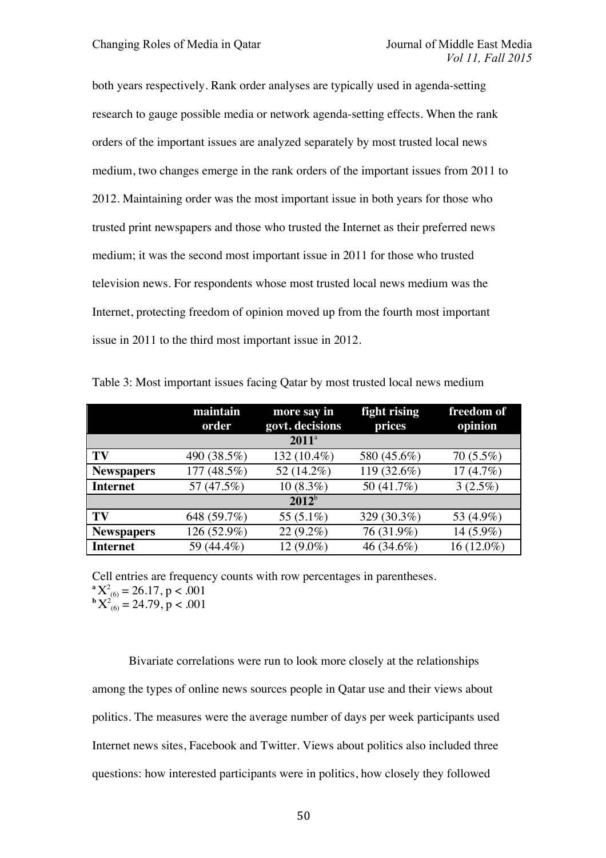both years respectively. Rank order analyses are typically used in agenda-setting research to gauge possible media or network agenda-setting effects. When the rank orders of the important issues are analyzed separately by most trusted local news medium, two changes emerge in the rank orders of the important issues from 2011 to 2012. Maintaining order was the most important issue in both years for those who trusted print newspapers and those who trusted the Internet as their preferred news medium; it was the second most important issue in 2011 for those who trusted television news. For respondents whose most trusted local news medium was the Internet, protecting freedom of opinion moved up from the fourth most important issue in 2011 to the third most important issue in 2012.

|                   | maintain<br>order | more say in<br>govt. decisions | fight rising<br>prices | freedom of<br>opinion |  |  |
|-------------------|-------------------|--------------------------------|------------------------|-----------------------|--|--|
| $2011^a$          |                   |                                |                        |                       |  |  |
| TV                | 490 (38.5%)       | 132 (10.4%)                    | 580 (45.6%)            | $70(5.5\%)$           |  |  |
| <b>Newspapers</b> | 177 (48.5%)       | 52 (14.2%)                     | 119 (32.6%)            | 17 $(4.7%)$           |  |  |
| <b>Internet</b>   | 57 (47.5%)        | $10(8.3\%)$                    | 50 (41.7%)             | $3(2.5\%)$            |  |  |
| $2012^{b}$        |                   |                                |                        |                       |  |  |
| TV                | 648 (59.7%)       | 55 (5.1%)                      | 329 (30.3%)            | 53 (4.9%)             |  |  |
| <b>Newspapers</b> | 126 (52.9%)       | $22(9.2\%)$                    | 76 (31.9%)             | 14 (5.9%)             |  |  |
| <b>Internet</b>   | 59 (44.4%)        | 12 (9.0%)                      | 46 (34.6%)             | 16 (12.0%)            |  |  |

Table 3: Most important issues facing Qatar by most trusted local news medium

Cell entries are frequency counts with row percentages in parentheses.  $\mathbf{a} \mathbf{X}_{(6)}^2 = 26.17$ , p < .001  $\mathbf{b} \mathbf{X}_{(6)}^2 = 24.79$ , p < .001

Bivariate correlations were run to look more closely at the relationships among the types of online news sources people in Qatar use and their views about politics. The measures were the average number of days per week participants used Internet news sites, Facebook and Twitter. Views about politics also included three questions: how interested participants were in politics, how closely they followed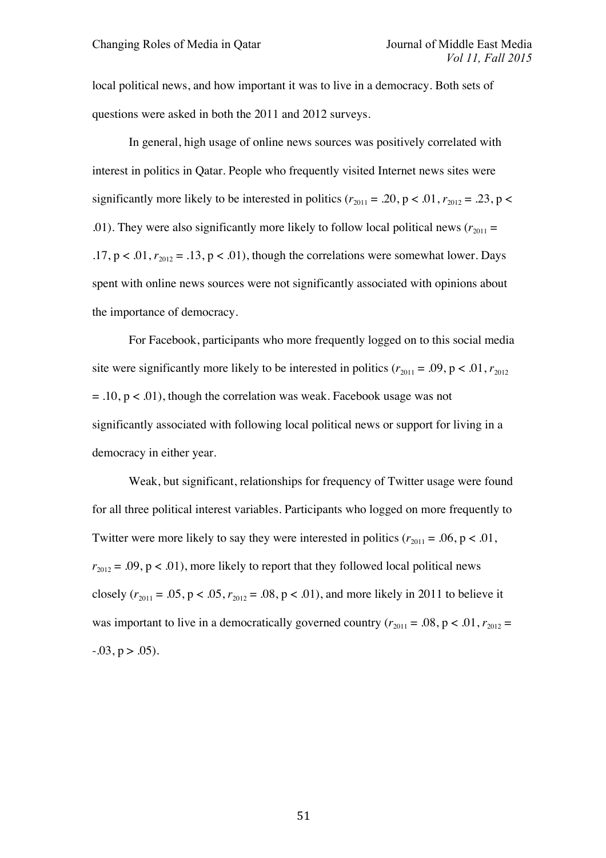local political news, and how important it was to live in a democracy. Both sets of questions were asked in both the 2011 and 2012 surveys.

In general, high usage of online news sources was positively correlated with interest in politics in Qatar. People who frequently visited Internet news sites were significantly more likely to be interested in politics  $(r_{2011} = .20, p < .01, r_{2012} = .23, p < .01)$ .01). They were also significantly more likely to follow local political news  $(r_{2011} =$ .17,  $p < 0.01$ ,  $r_{2012} = 0.13$ ,  $p < 0.01$ ), though the correlations were somewhat lower. Days spent with online news sources were not significantly associated with opinions about the importance of democracy.

For Facebook, participants who more frequently logged on to this social media site were significantly more likely to be interested in politics  $(r_{2011} = .09, p < .01, r_{2012})$  $= .10$ ,  $p < .01$ ), though the correlation was weak. Facebook usage was not significantly associated with following local political news or support for living in a democracy in either year.

Weak, but significant, relationships for frequency of Twitter usage were found for all three political interest variables. Participants who logged on more frequently to Twitter were more likely to say they were interested in politics  $(r_{2011} = .06, p < .01,$  $r_{2012} = .09$ ,  $p < .01$ ), more likely to report that they followed local political news closely  $(r_{2011} = .05, p < .05, r_{2012} = .08, p < .01)$ , and more likely in 2011 to believe it was important to live in a democratically governed country  $(r_{2011} = .08, p < .01, r_{2012} =$  $-0.03$ ,  $p > 0.05$ ).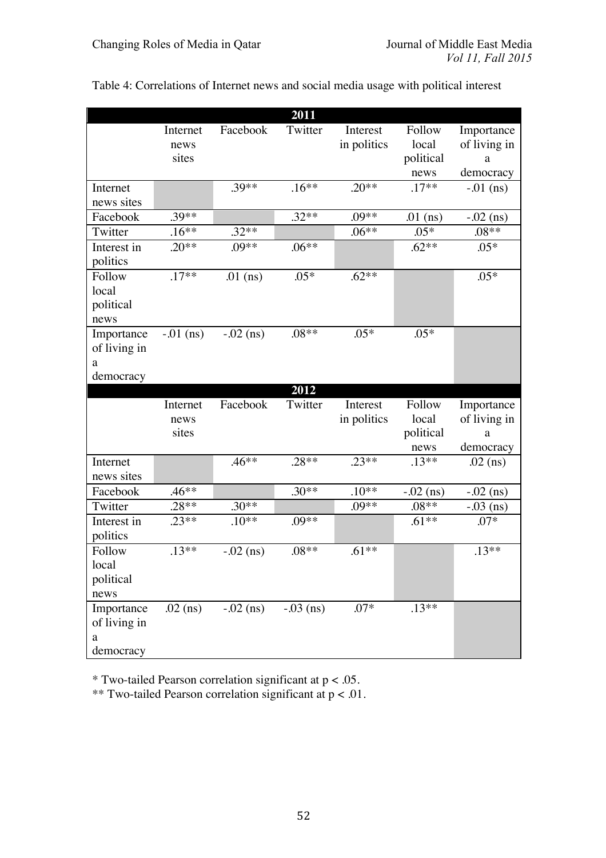|                |             |              | 2011        |             |             |              |
|----------------|-------------|--------------|-------------|-------------|-------------|--------------|
|                | Internet    | Facebook     | Twitter     | Interest    | Follow      | Importance   |
|                | news        |              |             | in politics | local       | of living in |
|                | sites       |              |             |             | political   | a            |
|                |             |              |             |             | news        | democracy    |
| Internet       |             | $.39**$      | $.16***$    | $.20**$     | $.17**$     | $-0.01$ (ns) |
| news sites     |             |              |             |             |             |              |
| Facebook       | .39**       |              | $.32**$     | $.09**$     | $.01$ (ns)  | $-.02$ (ns)  |
| Twitter        | $.16**$     | $.32**$      |             | $.06**$     | $.05*$      | $.08**$      |
| Interest in    | $.20**$     | $.09**$      | $.06**$     |             | $.62**$     | $.05*$       |
| politics       |             |              |             |             |             |              |
| Follow         | $.17**$     | $.01$ (ns)   | $.05*$      | $.62**$     |             | $.05*$       |
| local          |             |              |             |             |             |              |
| political      |             |              |             |             |             |              |
| news           |             |              |             |             |             |              |
| Importance     | $-.01$ (ns) | $-.02$ (ns)  | $.08**$     | $.05*$      | $.05*$      |              |
| of living in   |             |              |             |             |             |              |
| a              |             |              |             |             |             |              |
| democracy      |             |              |             |             |             |              |
|                |             |              | 2012        |             |             |              |
|                | Internet    | Facebook     | Twitter     | Interest    | Follow      | Importance   |
|                | news        |              |             | in politics | local       | of living in |
|                | sites       |              |             |             | political   | a            |
|                |             |              |             |             | news        | democracy    |
| Internet       |             | $.46**$      | $.28**$     | $.23**$     | $.13***$    | $.02$ (ns)   |
| news sites     |             |              |             |             |             |              |
| Facebook       | $.46**$     |              | $.30**$     | $.10**$     | $-.02$ (ns) | $-0.02$ (ns) |
| Twitter        | $.28**$     | $.30**$      |             | $.09**$     | $.08**$     | $-.03$ (ns)  |
| Interest in    | $.23**$     | $.10**$      | $.09**$     |             | $.61**$     | $.07*$       |
| politics       |             |              |             |             |             |              |
| Follow         | $.13**$     | $-0.02$ (ns) | $.08**$     | $.61**$     |             | $.13**$      |
| local          |             |              |             |             |             |              |
| political      |             |              |             |             |             |              |
| news           |             |              |             |             |             |              |
| Importance     |             |              |             |             |             |              |
|                | $.02$ (ns)  | $-0.02$ (ns) | $-.03$ (ns) | $.07*$      | $.13**$     |              |
| of living in   |             |              |             |             |             |              |
| a<br>democracy |             |              |             |             |             |              |

Table 4: Correlations of Internet news and social media usage with political interest

 $*$  Two-tailed Pearson correlation significant at  $p < .05$ .

\*\* Two-tailed Pearson correlation significant at  $p < .01$ .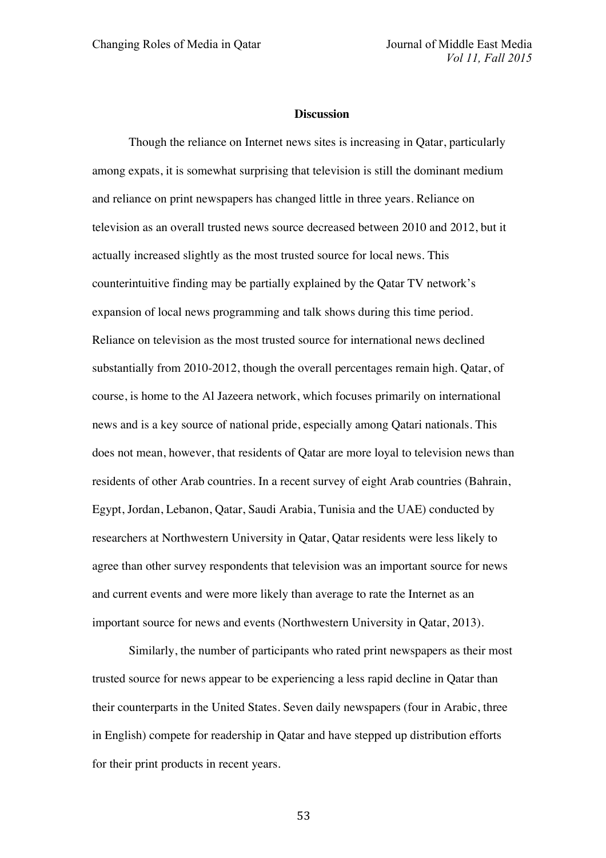#### **Discussion**

Though the reliance on Internet news sites is increasing in Qatar, particularly among expats, it is somewhat surprising that television is still the dominant medium and reliance on print newspapers has changed little in three years. Reliance on television as an overall trusted news source decreased between 2010 and 2012, but it actually increased slightly as the most trusted source for local news. This counterintuitive finding may be partially explained by the Qatar TV network's expansion of local news programming and talk shows during this time period. Reliance on television as the most trusted source for international news declined substantially from 2010-2012, though the overall percentages remain high. Qatar, of course, is home to the Al Jazeera network, which focuses primarily on international news and is a key source of national pride, especially among Qatari nationals. This does not mean, however, that residents of Qatar are more loyal to television news than residents of other Arab countries. In a recent survey of eight Arab countries (Bahrain, Egypt, Jordan, Lebanon, Qatar, Saudi Arabia, Tunisia and the UAE) conducted by researchers at Northwestern University in Qatar, Qatar residents were less likely to agree than other survey respondents that television was an important source for news and current events and were more likely than average to rate the Internet as an important source for news and events (Northwestern University in Qatar, 2013).

Similarly, the number of participants who rated print newspapers as their most trusted source for news appear to be experiencing a less rapid decline in Qatar than their counterparts in the United States. Seven daily newspapers (four in Arabic, three in English) compete for readership in Qatar and have stepped up distribution efforts for their print products in recent years.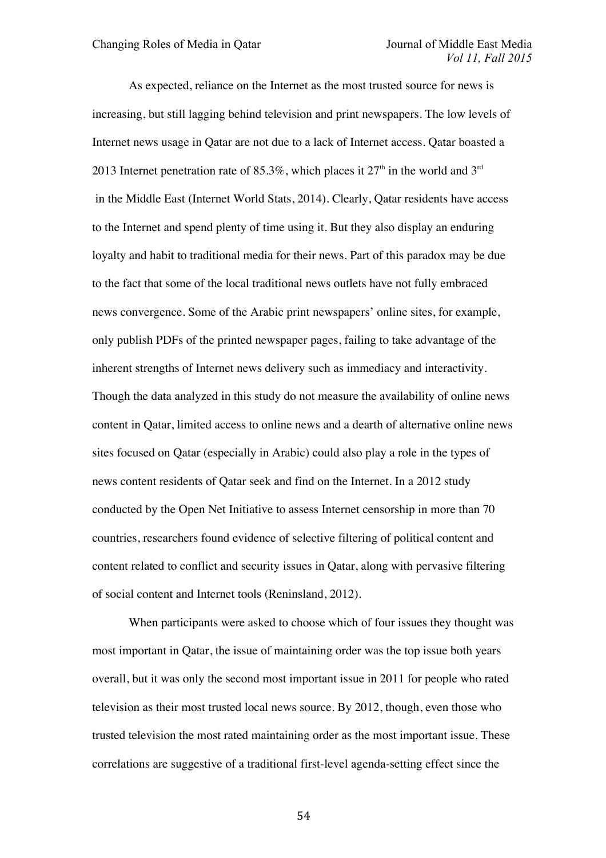As expected, reliance on the Internet as the most trusted source for news is increasing, but still lagging behind television and print newspapers. The low levels of Internet news usage in Qatar are not due to a lack of Internet access. Qatar boasted a 2013 Internet penetration rate of 85.3%, which places it  $27<sup>th</sup>$  in the world and 3<sup>rd</sup> in the Middle East (Internet World Stats, 2014). Clearly, Qatar residents have access to the Internet and spend plenty of time using it. But they also display an enduring loyalty and habit to traditional media for their news. Part of this paradox may be due to the fact that some of the local traditional news outlets have not fully embraced news convergence. Some of the Arabic print newspapers' online sites, for example, only publish PDFs of the printed newspaper pages, failing to take advantage of the inherent strengths of Internet news delivery such as immediacy and interactivity. Though the data analyzed in this study do not measure the availability of online news content in Qatar, limited access to online news and a dearth of alternative online news sites focused on Qatar (especially in Arabic) could also play a role in the types of news content residents of Qatar seek and find on the Internet. In a 2012 study conducted by the Open Net Initiative to assess Internet censorship in more than 70 countries, researchers found evidence of selective filtering of political content and content related to conflict and security issues in Qatar, along with pervasive filtering of social content and Internet tools (Reninsland, 2012).

When participants were asked to choose which of four issues they thought was most important in Qatar, the issue of maintaining order was the top issue both years overall, but it was only the second most important issue in 2011 for people who rated television as their most trusted local news source. By 2012, though, even those who trusted television the most rated maintaining order as the most important issue. These correlations are suggestive of a traditional first-level agenda-setting effect since the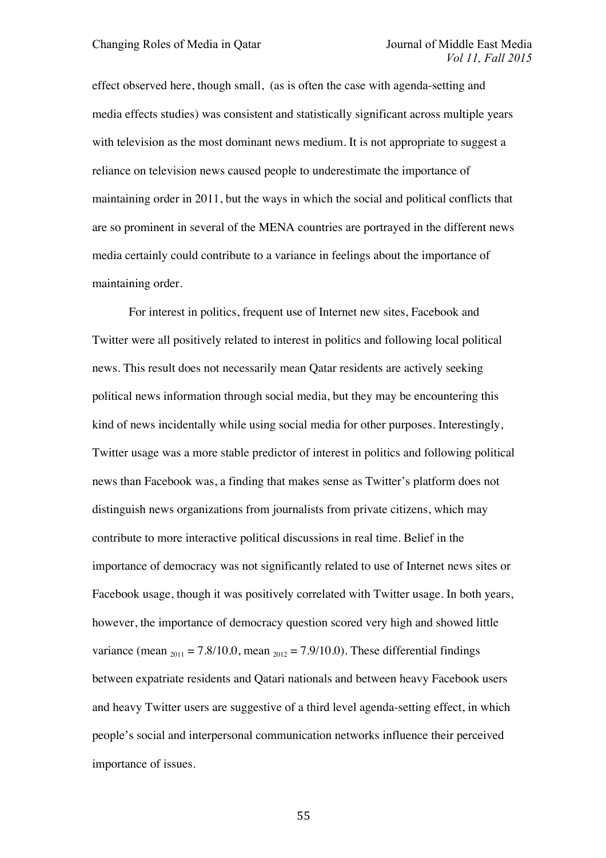effect observed here, though small, (as is often the case with agenda-setting and media effects studies) was consistent and statistically significant across multiple years with television as the most dominant news medium. It is not appropriate to suggest a reliance on television news caused people to underestimate the importance of maintaining order in 2011, but the ways in which the social and political conflicts that are so prominent in several of the MENA countries are portrayed in the different news media certainly could contribute to a variance in feelings about the importance of maintaining order.

For interest in politics, frequent use of Internet new sites, Facebook and Twitter were all positively related to interest in politics and following local political news. This result does not necessarily mean Qatar residents are actively seeking political news information through social media, but they may be encountering this kind of news incidentally while using social media for other purposes. Interestingly, Twitter usage was a more stable predictor of interest in politics and following political news than Facebook was, a finding that makes sense as Twitter's platform does not distinguish news organizations from journalists from private citizens, which may contribute to more interactive political discussions in real time. Belief in the importance of democracy was not significantly related to use of Internet news sites or Facebook usage, though it was positively correlated with Twitter usage. In both years, however, the importance of democracy question scored very high and showed little variance (mean  $_{2011} = 7.8/10.0$ , mean  $_{2012} = 7.9/10.0$ ). These differential findings between expatriate residents and Qatari nationals and between heavy Facebook users and heavy Twitter users are suggestive of a third level agenda-setting effect, in which people's social and interpersonal communication networks influence their perceived importance of issues.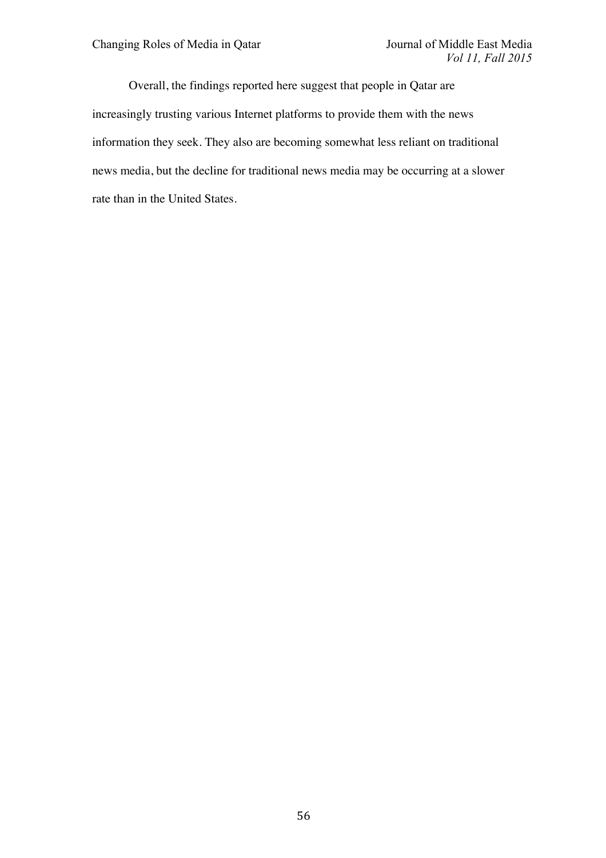Overall, the findings reported here suggest that people in Qatar are increasingly trusting various Internet platforms to provide them with the news information they seek. They also are becoming somewhat less reliant on traditional news media, but the decline for traditional news media may be occurring at a slower rate than in the United States.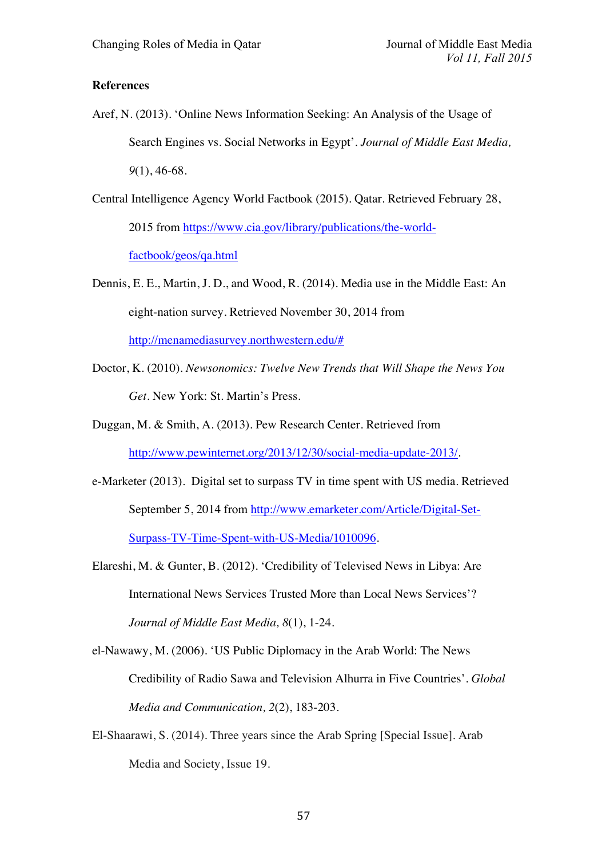# **References**

- Aref, N. (2013). 'Online News Information Seeking: An Analysis of the Usage of Search Engines vs. Social Networks in Egypt'. *Journal of Middle East Media, 9*(1), 46-68.
- Central Intelligence Agency World Factbook (2015). Qatar. Retrieved February 28,

2015 from https://www.cia.gov/library/publications/the-worldfactbook/geos/qa.html

- Dennis, E. E., Martin, J. D., and Wood, R. (2014). Media use in the Middle East: An eight-nation survey. Retrieved November 30, 2014 from http://menamediasurvey.northwestern.edu/#
- Doctor, K. (2010). *Newsonomics: Twelve New Trends that Will Shape the News You Get.* New York: St. Martin's Press.
- Duggan, M. & Smith, A. (2013). Pew Research Center. Retrieved from http://www.pewinternet.org/2013/12/30/social-media-update-2013/.
- e-Marketer (2013). Digital set to surpass TV in time spent with US media. Retrieved September 5, 2014 from http://www.emarketer.com/Article/Digital-Set-Surpass-TV-Time-Spent-with-US-Media/1010096.
- Elareshi, M. & Gunter, B. (2012). 'Credibility of Televised News in Libya: Are International News Services Trusted More than Local News Services'? *Journal of Middle East Media, 8*(1), 1-24.
- el-Nawawy, M. (2006). 'US Public Diplomacy in the Arab World: The News Credibility of Radio Sawa and Television Alhurra in Five Countries'. *Global Media and Communication, 2*(2), 183-203.
- El-Shaarawi, S. (2014). Three years since the Arab Spring [Special Issue]. Arab Media and Society, Issue 19.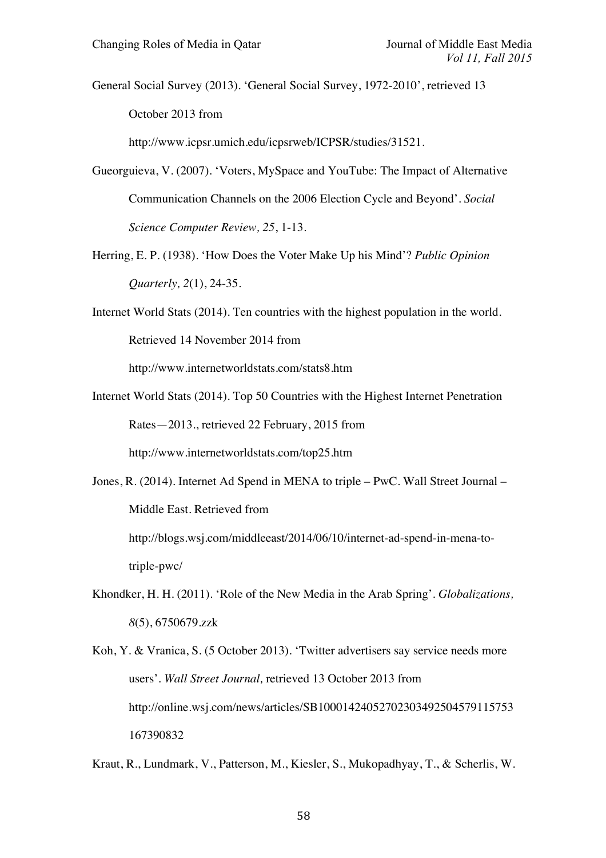General Social Survey (2013). 'General Social Survey, 1972-2010', retrieved 13 October 2013 from

http://www.icpsr.umich.edu/icpsrweb/ICPSR/studies/31521.

- Gueorguieva, V. (2007). 'Voters, MySpace and YouTube: The Impact of Alternative Communication Channels on the 2006 Election Cycle and Beyond'. *Social Science Computer Review, 25*, 1-13.
- Herring, E. P. (1938). 'How Does the Voter Make Up his Mind'? *Public Opinion Quarterly, 2*(1), 24-35.
- Internet World Stats (2014). Ten countries with the highest population in the world. Retrieved 14 November 2014 from

http://www.internetworldstats.com/stats8.htm

- Internet World Stats (2014). Top 50 Countries with the Highest Internet Penetration Rates—2013., retrieved 22 February, 2015 from http://www.internetworldstats.com/top25.htm
- Jones, R. (2014). Internet Ad Spend in MENA to triple PwC. Wall Street Journal Middle East. Retrieved from

http://blogs.wsj.com/middleeast/2014/06/10/internet-ad-spend-in-mena-totriple-pwc/

- Khondker, H. H. (2011). 'Role of the New Media in the Arab Spring'. *Globalizations, 8*(5), 6750679.zzk
- Koh, Y. & Vranica, S. (5 October 2013). 'Twitter advertisers say service needs more users'. *Wall Street Journal,* retrieved 13 October 2013 from http://online.wsj.com/news/articles/SB10001424052702303492504579115753 167390832
- Kraut, R., Lundmark, V., Patterson, M., Kiesler, S., Mukopadhyay, T., & Scherlis, W.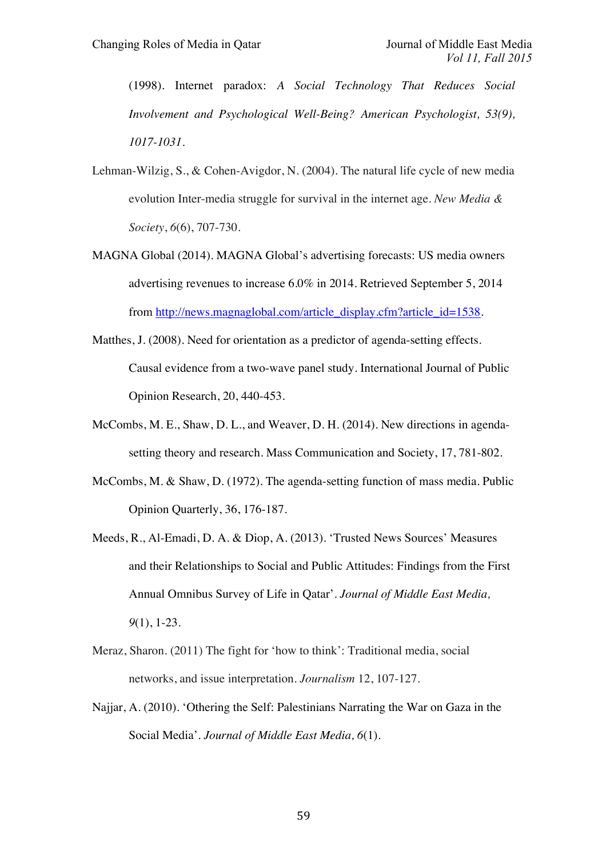(1998). Internet paradox: *A Social Technology That Reduces Social Involvement and Psychological Well-Being? American Psychologist, 53(9), 1017-1031.*

- Lehman-Wilzig, S., & Cohen-Avigdor, N. (2004). The natural life cycle of new media evolution Inter-media struggle for survival in the internet age. *New Media & Society*, *6*(6), 707-730.
- MAGNA Global (2014). MAGNA Global's advertising forecasts: US media owners advertising revenues to increase 6.0% in 2014. Retrieved September 5, 2014 from http://news.magnaglobal.com/article\_display.cfm?article\_id=1538.
- Matthes, J. (2008). Need for orientation as a predictor of agenda-setting effects. Causal evidence from a two-wave panel study. International Journal of Public Opinion Research, 20, 440-453.
- McCombs, M. E., Shaw, D. L., and Weaver, D. H. (2014). New directions in agendasetting theory and research. Mass Communication and Society, 17, 781-802.
- McCombs, M. & Shaw, D. (1972). The agenda-setting function of mass media. Public Opinion Quarterly, 36, 176-187.
- Meeds, R., Al-Emadi, D. A. & Diop, A. (2013). 'Trusted News Sources' Measures and their Relationships to Social and Public Attitudes: Findings from the First Annual Omnibus Survey of Life in Qatar'. *Journal of Middle East Media, 9*(1), 1-23.
- Meraz, Sharon. (2011) The fight for 'how to think': Traditional media, social networks, and issue interpretation. *Journalism* 12, 107-127.
- Najjar, A. (2010). 'Othering the Self: Palestinians Narrating the War on Gaza in the Social Media'. *Journal of Middle East Media, 6*(1).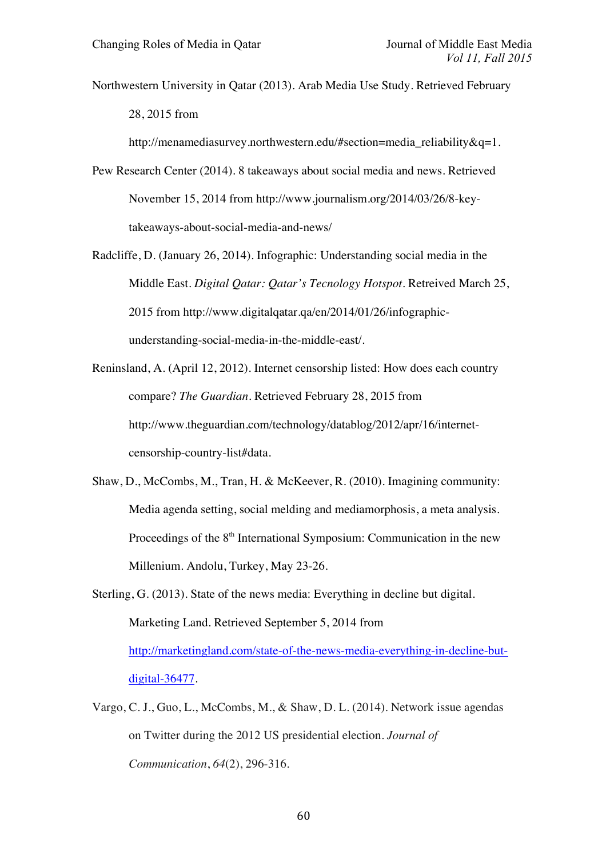Northwestern University in Qatar (2013). Arab Media Use Study. Retrieved February 28, 2015 from

http://menamediasurvey.northwestern.edu/#section=media\_reliability&q=1.

- Pew Research Center (2014). 8 takeaways about social media and news. Retrieved November 15, 2014 from http://www.journalism.org/2014/03/26/8-keytakeaways-about-social-media-and-news/
- Radcliffe, D. (January 26, 2014). Infographic: Understanding social media in the Middle East. *Digital Qatar: Qatar's Tecnology Hotspot*. Retreived March 25, 2015 from http://www.digitalqatar.qa/en/2014/01/26/infographicunderstanding-social-media-in-the-middle-east/.
- Reninsland, A. (April 12, 2012). Internet censorship listed: How does each country compare? *The Guardian*. Retrieved February 28, 2015 from http://www.theguardian.com/technology/datablog/2012/apr/16/internetcensorship-country-list#data.
- Shaw, D., McCombs, M., Tran, H. & McKeever, R. (2010). Imagining community: Media agenda setting, social melding and mediamorphosis, a meta analysis. Proceedings of the  $8<sup>th</sup>$  International Symposium: Communication in the new Millenium. Andolu, Turkey, May 23-26.
- Sterling, G. (2013). State of the news media: Everything in decline but digital. Marketing Land. Retrieved September 5, 2014 from http://marketingland.com/state-of-the-news-media-everything-in-decline-butdigital-36477.
- Vargo, C. J., Guo, L., McCombs, M., & Shaw, D. L. (2014). Network issue agendas on Twitter during the 2012 US presidential election. *Journal of Communication*, *64*(2), 296-316.